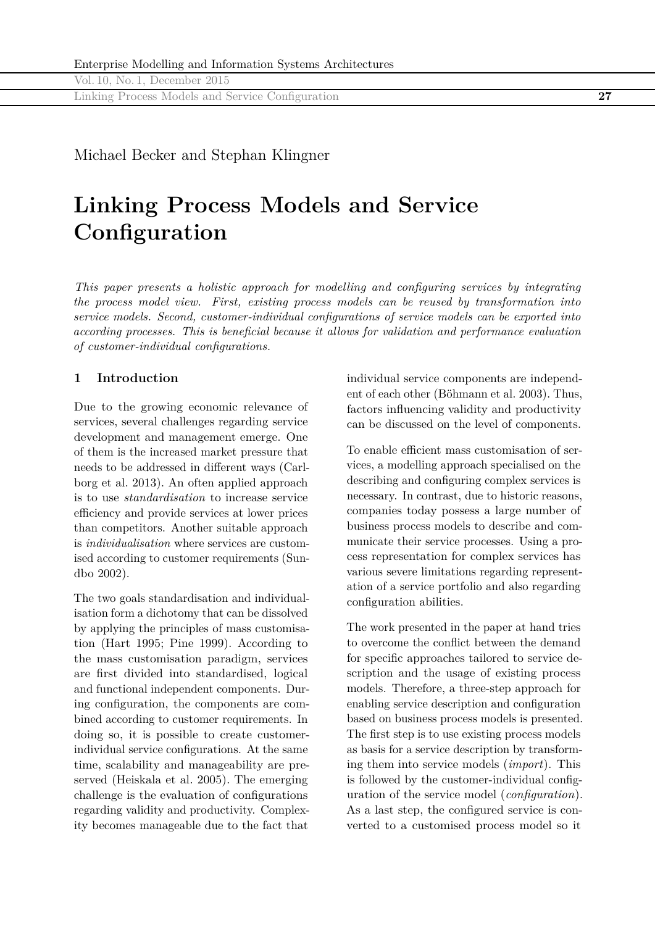Linking Process Models and Service Configuration **27**

Michael Becker and Stephan Klingner

# **Linking Process Models and Service Configuration**

*This paper presents a holistic approach for modelling and configuring services by integrating the process model view. First, existing process models can be reused by transformation into service models. Second, customer-individual configurations of service models can be exported into according processes. This is beneficial because it allows for validation and performance evaluation of customer-individual configurations.*

## **1 Introduction**

Due to the growing economic relevance of services, several challenges regarding service development and management emerge. One of them is the increased market pressure that needs to be addressed in different ways (Carlborg et al. 2013). An often applied approach is to use *standardisation* to increase service efficiency and provide services at lower prices than competitors. Another suitable approach is *individualisation* where services are customised according to customer requirements (Sundbo 2002).

The two goals standardisation and individualisation form a dichotomy that can be dissolved by applying the principles of mass customisation (Hart 1995; Pine 1999). According to the mass customisation paradigm, services are first divided into standardised, logical and functional independent components. During configuration, the components are combined according to customer requirements. In doing so, it is possible to create customerindividual service configurations. At the same time, scalability and manageability are preserved (Heiskala et al. 2005). The emerging challenge is the evaluation of configurations regarding validity and productivity. Complexity becomes manageable due to the fact that

individual service components are independent of each other (Böhmann et al. 2003). Thus, factors influencing validity and productivity can be discussed on the level of components.

To enable efficient mass customisation of services, a modelling approach specialised on the describing and configuring complex services is necessary. In contrast, due to historic reasons, companies today possess a large number of business process models to describe and communicate their service processes. Using a process representation for complex services has various severe limitations regarding representation of a service portfolio and also regarding configuration abilities.

The work presented in the paper at hand tries to overcome the conflict between the demand for specific approaches tailored to service description and the usage of existing process models. Therefore, a three-step approach for enabling service description and configuration based on business process models is presented. The first step is to use existing process models as basis for a service description by transforming them into service models (*import*). This is followed by the customer-individual configuration of the service model (*configuration*). As a last step, the configured service is converted to a customised process model so it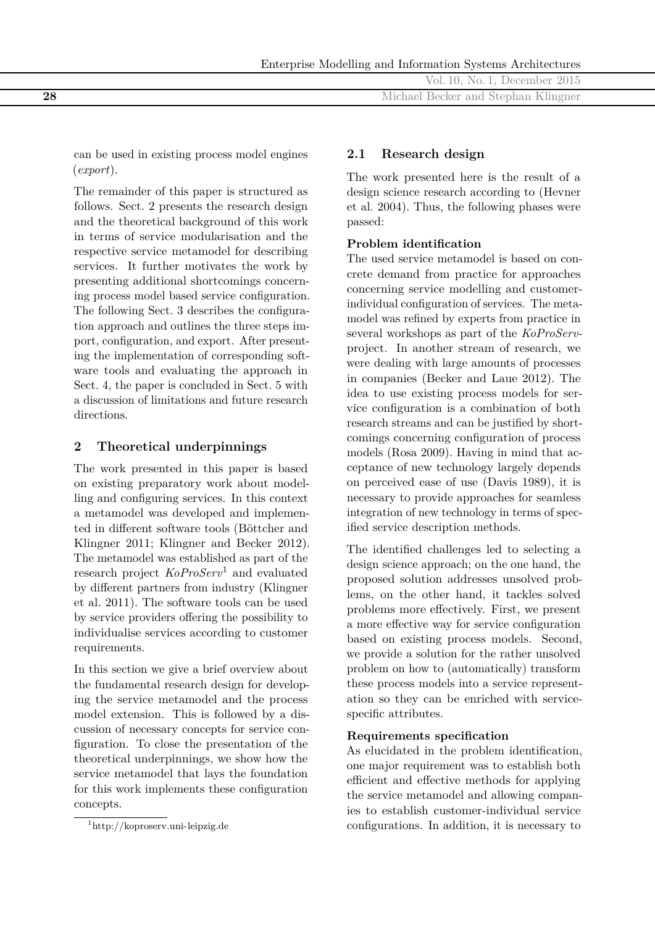|     | Vol. 10, No. 1, December 2015       |
|-----|-------------------------------------|
| -28 | Michael Becker and Stephan Klingner |
|     |                                     |

can be used in existing process model engines (*export*).

The remainder of this paper is structured as follows. Sect. 2 presents the research design and the theoretical background of this work in terms of service modularisation and the respective service metamodel for describing services. It further motivates the work by presenting additional shortcomings concerning process model based service configuration. The following Sect. 3 describes the configuration approach and outlines the three steps import, configuration, and export. After presenting the implementation of corresponding software tools and evaluating the approach in Sect. 4, the paper is concluded in Sect. 5 with a discussion of limitations and future research directions.

# **2 Theoretical underpinnings**

The work presented in this paper is based on existing preparatory work about modelling and configuring services. In this context a metamodel was developed and implemented in different software tools (Böttcher and Klingner 2011; Klingner and Becker 2012). The metamodel was established as part of the research project *KoProServ*1 and evaluated by different partners from industry (Klingner et al. 2011). The software tools can be used by service providers offering the possibility to individualise services according to customer requirements.

In this section we give a brief overview about the fundamental research design for developing the service metamodel and the process model extension. This is followed by a discussion of necessary concepts for service configuration. To close the presentation of the theoretical underpinnings, we show how the service metamodel that lays the foundation for this work implements these configuration concepts.

## **2.1 Research design**

The work presented here is the result of a design science research according to (Hevner et al. 2004). Thus, the following phases were passed:

## **Problem identification**

The used service metamodel is based on concrete demand from practice for approaches concerning service modelling and customerindividual configuration of services. The metamodel was refined by experts from practice in several workshops as part of the *KoProServ*project. In another stream of research, we were dealing with large amounts of processes in companies (Becker and Laue 2012). The idea to use existing process models for service configuration is a combination of both research streams and can be justified by shortcomings concerning configuration of process models (Rosa 2009). Having in mind that acceptance of new technology largely depends on perceived ease of use (Davis 1989), it is necessary to provide approaches for seamless integration of new technology in terms of specified service description methods.

The identified challenges led to selecting a design science approach; on the one hand, the proposed solution addresses unsolved problems, on the other hand, it tackles solved problems more effectively. First, we present a more effective way for service configuration based on existing process models. Second, we provide a solution for the rather unsolved problem on how to (automatically) transform these process models into a service representation so they can be enriched with servicespecific attributes.

## **Requirements specification**

As elucidated in the problem identification, one major requirement was to establish both efficient and effective methods for applying the service metamodel and allowing companies to establish customer-individual service configurations. In addition, it is necessary to

<sup>1</sup><http://koproserv.uni-leipzig.de>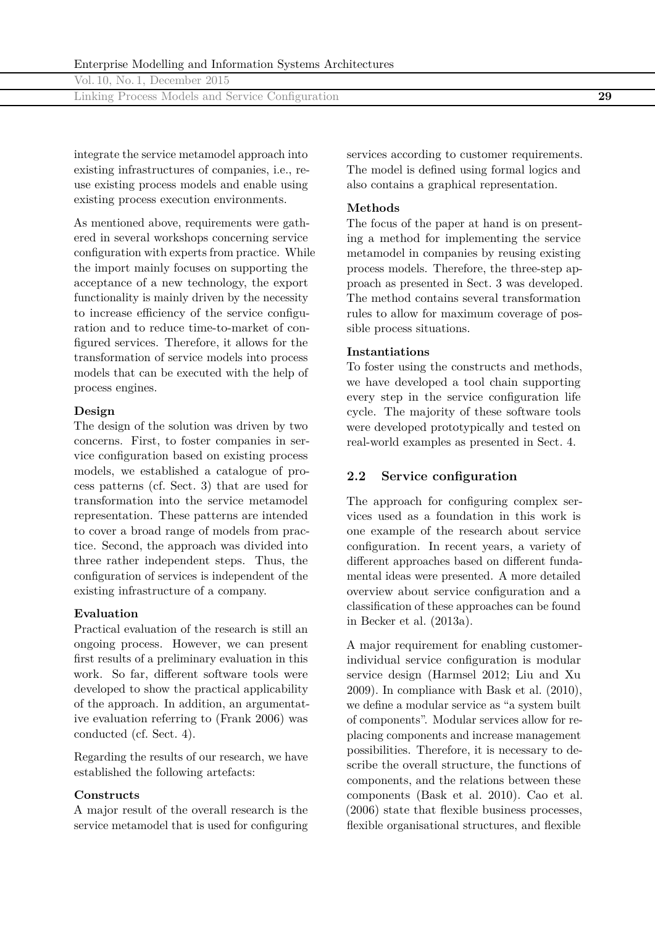| Vol. 10, No. 1, December 2015                    |  |
|--------------------------------------------------|--|
| Linking Process Models and Service Configuration |  |

integrate the service metamodel approach into existing infrastructures of companies, i.e., reuse existing process models and enable using existing process execution environments.

As mentioned above, requirements were gathered in several workshops concerning service configuration with experts from practice. While the import mainly focuses on supporting the acceptance of a new technology, the export functionality is mainly driven by the necessity to increase efficiency of the service configuration and to reduce time-to-market of configured services. Therefore, it allows for the transformation of service models into process models that can be executed with the help of process engines.

#### **Design**

The design of the solution was driven by two concerns. First, to foster companies in service configuration based on existing process models, we established a catalogue of process patterns (cf. Sect. 3) that are used for transformation into the service metamodel representation. These patterns are intended to cover a broad range of models from practice. Second, the approach was divided into three rather independent steps. Thus, the configuration of services is independent of the existing infrastructure of a company.

#### **Evaluation**

Practical evaluation of the research is still an ongoing process. However, we can present first results of a preliminary evaluation in this work. So far, different software tools were developed to show the practical applicability of the approach. In addition, an argumentative evaluation referring to (Frank 2006) was conducted (cf. Sect. 4).

Regarding the results of our research, we have established the following artefacts:

#### **Constructs**

A major result of the overall research is the service metamodel that is used for configuring

services according to customer requirements. The model is defined using formal logics and also contains a graphical representation.

#### **Methods**

The focus of the paper at hand is on presenting a method for implementing the service metamodel in companies by reusing existing process models. Therefore, the three-step approach as presented in Sect. 3 was developed. The method contains several transformation rules to allow for maximum coverage of possible process situations.

#### **Instantiations**

To foster using the constructs and methods, we have developed a tool chain supporting every step in the service configuration life cycle. The majority of these software tools were developed prototypically and tested on real-world examples as presented in Sect. 4.

## **2.2 Service configuration**

The approach for configuring complex services used as a foundation in this work is one example of the research about service configuration. In recent years, a variety of different approaches based on different fundamental ideas were presented. A more detailed overview about service configuration and a classification of these approaches can be found in Becker et al. (2013a).

A major requirement for enabling customerindividual service configuration is modular service design (Harmsel 2012; Liu and Xu 2009). In compliance with Bask et al. (2010), we define a modular service as "a system built of components". Modular services allow for replacing components and increase management possibilities. Therefore, it is necessary to describe the overall structure, the functions of components, and the relations between these components (Bask et al. 2010). Cao et al. (2006) state that flexible business processes, flexible organisational structures, and flexible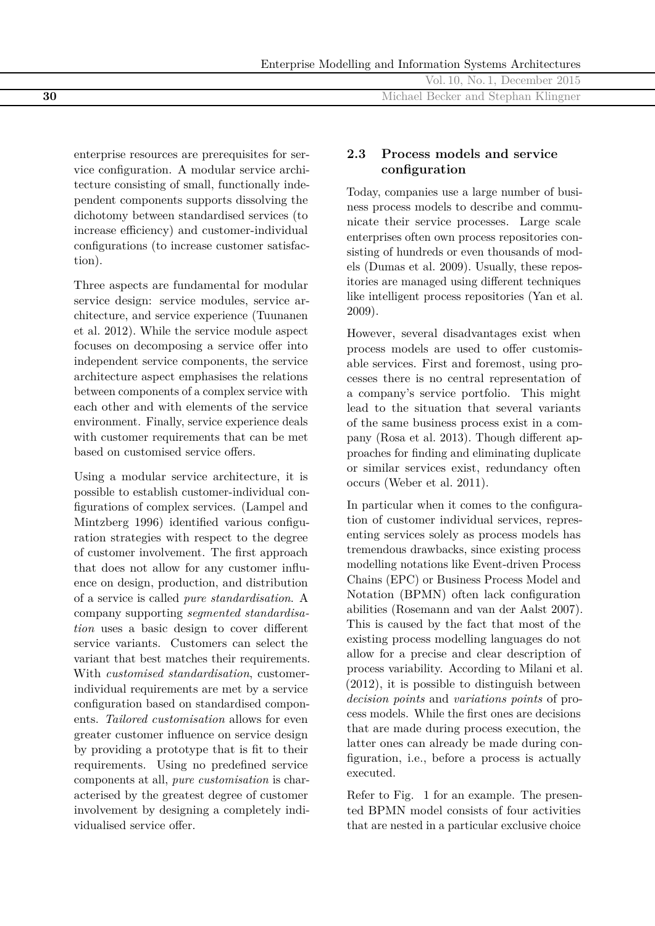|    | Vol. 10, No. 1, December 2015       |
|----|-------------------------------------|
| 30 | Michael Becker and Stephan Klingner |
|    |                                     |

enterprise resources are prerequisites for service configuration. A modular service architecture consisting of small, functionally independent components supports dissolving the dichotomy between standardised services (to increase efficiency) and customer-individual configurations (to increase customer satisfaction).

Three aspects are fundamental for modular service design: service modules, service architecture, and service experience (Tuunanen et al. 2012). While the service module aspect focuses on decomposing a service offer into independent service components, the service architecture aspect emphasises the relations between components of a complex service with each other and with elements of the service environment. Finally, service experience deals with customer requirements that can be met based on customised service offers.

Using a modular service architecture, it is possible to establish customer-individual configurations of complex services. (Lampel and Mintzberg 1996) identified various configuration strategies with respect to the degree of customer involvement. The first approach that does not allow for any customer influence on design, production, and distribution of a service is called *pure standardisation*. A company supporting *segmented standardisation* uses a basic design to cover different service variants. Customers can select the variant that best matches their requirements. With *customised standardisation*, customerindividual requirements are met by a service configuration based on standardised components. *Tailored customisation* allows for even greater customer influence on service design by providing a prototype that is fit to their requirements. Using no predefined service components at all, *pure customisation* is characterised by the greatest degree of customer involvement by designing a completely individualised service offer.

# **2.3 Process models and service configuration**

Today, companies use a large number of business process models to describe and communicate their service processes. Large scale enterprises often own process repositories consisting of hundreds or even thousands of models (Dumas et al. 2009). Usually, these repositories are managed using different techniques like intelligent process repositories (Yan et al. 2009).

However, several disadvantages exist when process models are used to offer customisable services. First and foremost, using processes there is no central representation of a company's service portfolio. This might lead to the situation that several variants of the same business process exist in a company (Rosa et al. 2013). Though different approaches for finding and eliminating duplicate or similar services exist, redundancy often occurs (Weber et al. 2011).

In particular when it comes to the configuration of customer individual services, representing services solely as process models has tremendous drawbacks, since existing process modelling notations like Event-driven Process Chains (EPC) or Business Process Model and Notation (BPMN) often lack configuration abilities (Rosemann and van der Aalst 2007). This is caused by the fact that most of the existing process modelling languages do not allow for a precise and clear description of process variability. According to Milani et al. (2012), it is possible to distinguish between *decision points* and *variations points* of process models. While the first ones are decisions that are made during process execution, the latter ones can already be made during configuration, i.e., before a process is actually executed.

Refer to Fig. 1 for an example. The presented BPMN model consists of four activities that are nested in a particular exclusive choice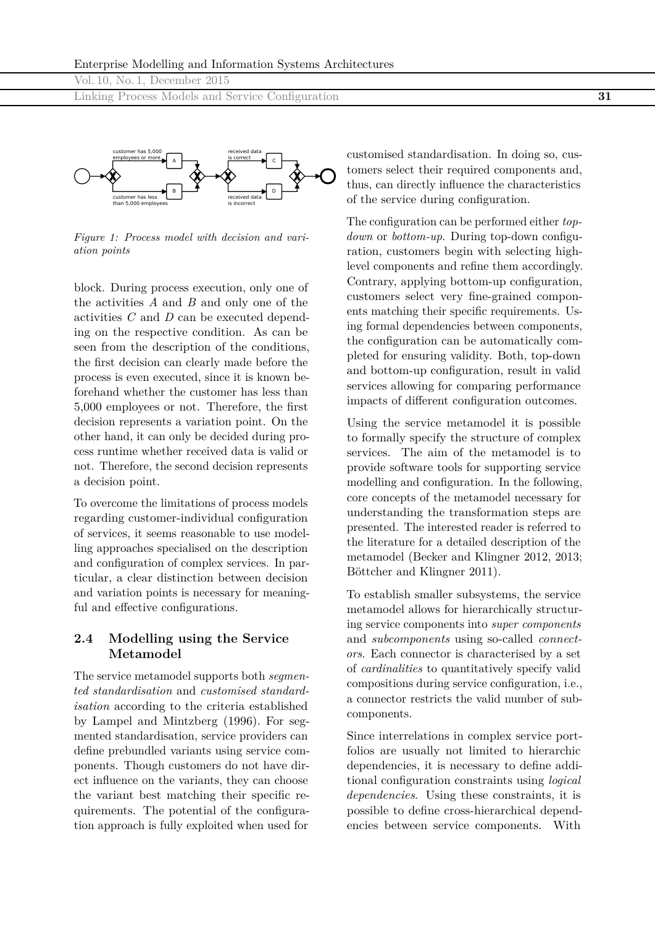Linking Process Models and Service Configuration **31**



*Figure 1: Process model with decision and variation points*

block. During process execution, only one of the activities *A* and *B* and only one of the activities *C* and *D* can be executed depending on the respective condition. As can be seen from the description of the conditions, the first decision can clearly made before the process is even executed, since it is known beforehand whether the customer has less than 5,000 employees or not. Therefore, the first decision represents a variation point. On the other hand, it can only be decided during process runtime whether received data is valid or not. Therefore, the second decision represents a decision point.

To overcome the limitations of process models regarding customer-individual configuration of services, it seems reasonable to use modelling approaches specialised on the description and configuration of complex services. In particular, a clear distinction between decision and variation points is necessary for meaningful and effective configurations.

## **2.4 Modelling using the Service Metamodel**

The service metamodel supports both *segmented standardisation* and *customised standardisation* according to the criteria established by Lampel and Mintzberg (1996). For segmented standardisation, service providers can define prebundled variants using service components. Though customers do not have direct influence on the variants, they can choose the variant best matching their specific requirements. The potential of the configuration approach is fully exploited when used for

customised standardisation. In doing so, customers select their required components and, thus, can directly influence the characteristics of the service during configuration.

The configuration can be performed either *topdown* or *bottom-up*. During top-down configuration, customers begin with selecting highlevel components and refine them accordingly. Contrary, applying bottom-up configuration, customers select very fine-grained components matching their specific requirements. Using formal dependencies between components, the configuration can be automatically completed for ensuring validity. Both, top-down and bottom-up configuration, result in valid services allowing for comparing performance impacts of different configuration outcomes.

Using the service metamodel it is possible to formally specify the structure of complex services. The aim of the metamodel is to provide software tools for supporting service modelling and configuration. In the following, core concepts of the metamodel necessary for understanding the transformation steps are presented. The interested reader is referred to the literature for a detailed description of the metamodel (Becker and Klingner 2012, 2013; Böttcher and Klingner 2011).

To establish smaller subsystems, the service metamodel allows for hierarchically structuring service components into *super components* and *subcomponents* using so-called *connectors*. Each connector is characterised by a set of *cardinalities* to quantitatively specify valid compositions during service configuration, i.e., a connector restricts the valid number of subcomponents.

Since interrelations in complex service portfolios are usually not limited to hierarchic dependencies, it is necessary to define additional configuration constraints using *logical dependencies*. Using these constraints, it is possible to define cross-hierarchical dependencies between service components. With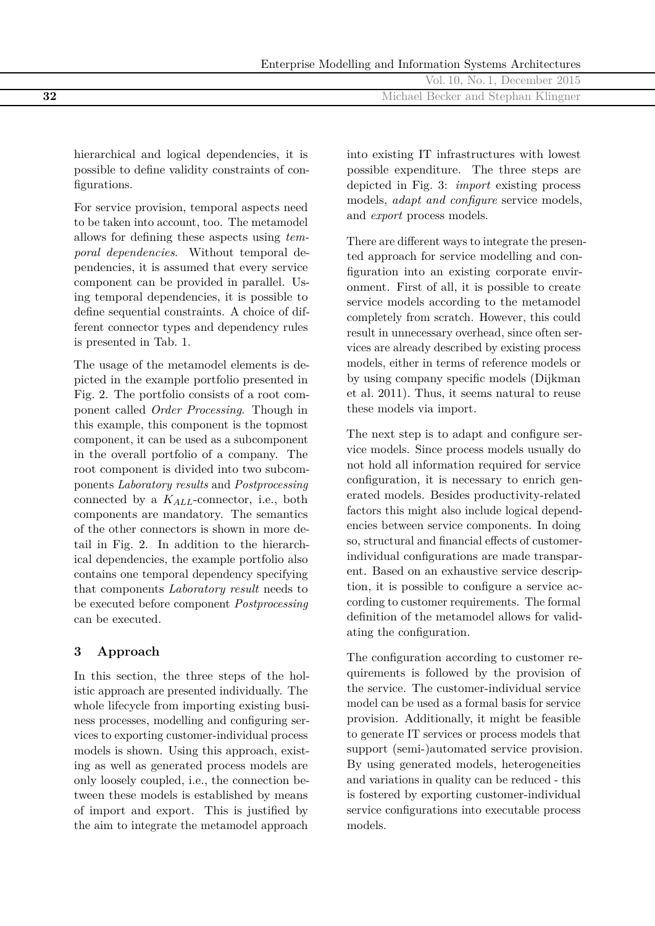|     | No. 1, December $2015$<br>Vol.<br>$\Box$      |
|-----|-----------------------------------------------|
| -32 | <b>Becker and Stephan Klingner</b><br>Michael |
|     |                                               |

hierarchical and logical dependencies, it is possible to define validity constraints of configurations.

For service provision, temporal aspects need to be taken into account, too. The metamodel allows for defining these aspects using *temporal dependencies*. Without temporal dependencies, it is assumed that every service component can be provided in parallel. Using temporal dependencies, it is possible to define sequential constraints. A choice of different connector types and dependency rules is presented in Tab. 1.

The usage of the metamodel elements is depicted in the example portfolio presented in Fig. 2. The portfolio consists of a root component called *Order Processing*. Though in this example, this component is the topmost component, it can be used as a subcomponent in the overall portfolio of a company. The root component is divided into two subcomponents *Laboratory results* and *Postprocessing* connected by a *KALL*-connector, i.e., both components are mandatory. The semantics of the other connectors is shown in more detail in Fig. 2. In addition to the hierarchical dependencies, the example portfolio also contains one temporal dependency specifying that components *Laboratory result* needs to be executed before component *Postprocessing* can be executed.

# **3 Approach**

In this section, the three steps of the holistic approach are presented individually. The whole lifecycle from importing existing business processes, modelling and configuring services to exporting customer-individual process models is shown. Using this approach, existing as well as generated process models are only loosely coupled, i.e., the connection between these models is established by means of import and export. This is justified by the aim to integrate the metamodel approach

into existing IT infrastructures with lowest possible expenditure. The three steps are depicted in Fig. 3: *import* existing process models, *adapt and configure* service models, and *export* process models.

There are different ways to integrate the presented approach for service modelling and configuration into an existing corporate environment. First of all, it is possible to create service models according to the metamodel completely from scratch. However, this could result in unnecessary overhead, since often services are already described by existing process models, either in terms of reference models or by using company specific models (Dijkman et al. 2011). Thus, it seems natural to reuse these models via import.

The next step is to adapt and configure service models. Since process models usually do not hold all information required for service configuration, it is necessary to enrich generated models. Besides productivity-related factors this might also include logical dependencies between service components. In doing so, structural and financial effects of customerindividual configurations are made transparent. Based on an exhaustive service description, it is possible to configure a service according to customer requirements. The formal definition of the metamodel allows for validating the configuration.

The configuration according to customer requirements is followed by the provision of the service. The customer-individual service model can be used as a formal basis for service provision. Additionally, it might be feasible to generate IT services or process models that support (semi-)automated service provision. By using generated models, heterogeneities and variations in quality can be reduced - this is fostered by exporting customer-individual service configurations into executable process models.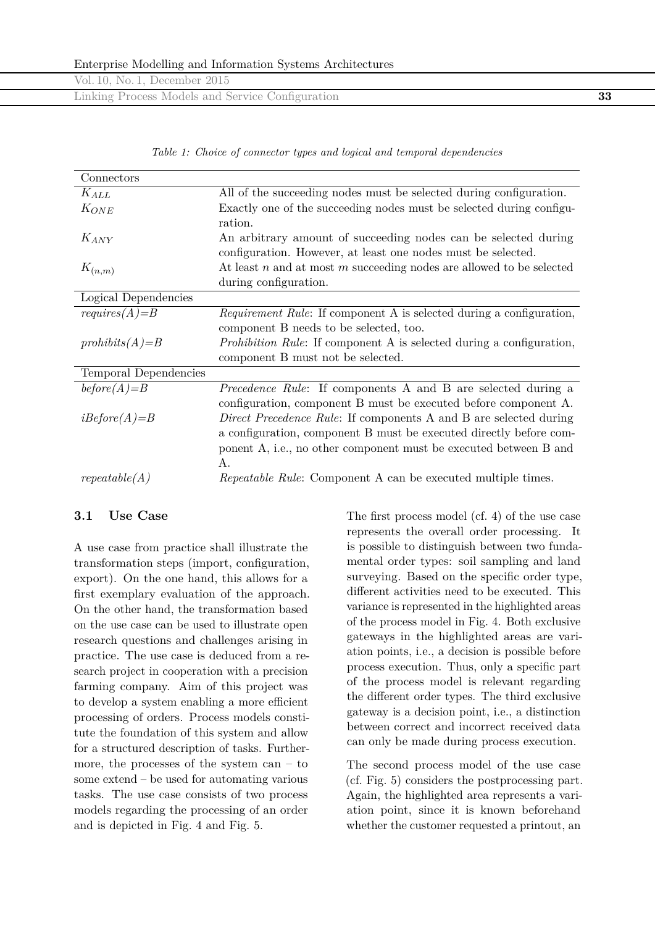| Vol. 10, No. 1, December 2015                    |    |
|--------------------------------------------------|----|
| Linking Process Models and Service Configuration | 33 |

*Table 1: Choice of connector types and logical and temporal dependencies*

| Connectors            |                                                                             |
|-----------------------|-----------------------------------------------------------------------------|
| $K_{ALL}$             | All of the succeeding nodes must be selected during configuration.          |
| $K_{ONE}$             | Exactly one of the succeeding nodes must be selected during configu-        |
|                       | ration.                                                                     |
| $K_{ANY}$             | An arbitrary amount of succeeding nodes can be selected during              |
|                       | configuration. However, at least one nodes must be selected.                |
| $K_{(n,m)}$           | At least $n$ and at most $m$ succeeding nodes are allowed to be selected    |
|                       | during configuration.                                                       |
| Logical Dependencies  |                                                                             |
| $requires(A)=B$       | <i>Requirement Rule:</i> If component A is selected during a configuration, |
|                       | component B needs to be selected, too.                                      |
| $prohibits(A)=B$      | <i>Prohibition Rule:</i> If component A is selected during a configuration, |
|                       | component B must not be selected.                                           |
| Temporal Dependencies |                                                                             |
| $before(A)=B$         | Precedence Rule: If components A and B are selected during a                |
|                       | configuration, component B must be executed before component A.             |
| $iBefore(A)=B$        | <i>Direct Precedence Rule:</i> If components A and B are selected during    |
|                       | a configuration, component B must be executed directly before com-          |
|                       | ponent A, i.e., no other component must be executed between B and           |
|                       | Α.                                                                          |
| repeatedble(A)        | <i>Repeatable Rule:</i> Component A can be executed multiple times.         |

### **3.1 Use Case**

A use case from practice shall illustrate the transformation steps (import, configuration, export). On the one hand, this allows for a first exemplary evaluation of the approach. On the other hand, the transformation based on the use case can be used to illustrate open research questions and challenges arising in practice. The use case is deduced from a research project in cooperation with a precision farming company. Aim of this project was to develop a system enabling a more efficient processing of orders. Process models constitute the foundation of this system and allow for a structured description of tasks. Furthermore, the processes of the system can  $-$  to some extend – be used for automating various tasks. The use case consists of two process models regarding the processing of an order and is depicted in Fig. 4 and Fig. 5.

The first process model (cf. 4) of the use case represents the overall order processing. It is possible to distinguish between two fundamental order types: soil sampling and land surveying. Based on the specific order type, different activities need to be executed. This variance is represented in the highlighted areas of the process model in Fig. 4. Both exclusive gateways in the highlighted areas are variation points, i.e., a decision is possible before process execution. Thus, only a specific part of the process model is relevant regarding the different order types. The third exclusive gateway is a decision point, i.e., a distinction between correct and incorrect received data can only be made during process execution.

The second process model of the use case (cf. Fig. 5) considers the postprocessing part. Again, the highlighted area represents a variation point, since it is known beforehand whether the customer requested a printout, an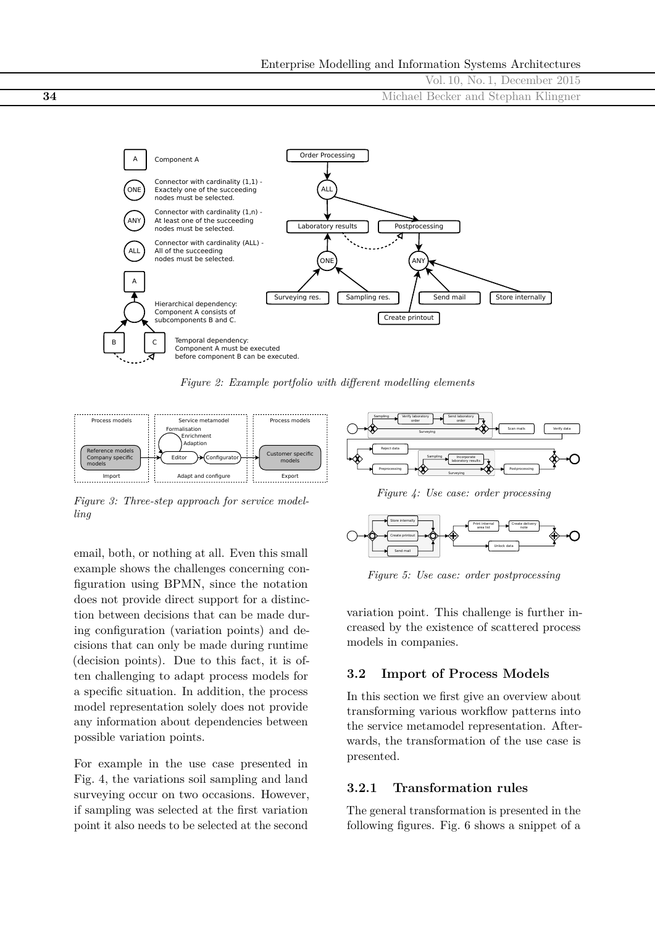



*Figure 2: Example portfolio with different modelling elements*



*Figure 3: Three-step approach for service modelling*

email, both, or nothing at all. Even this small example shows the challenges concerning configuration using BPMN, since the notation does not provide direct support for a distinction between decisions that can be made during configuration (variation points) and decisions that can only be made during runtime (decision points). Due to this fact, it is often challenging to adapt process models for a specific situation. In addition, the process model representation solely does not provide any information about dependencies between possible variation points.

For example in the use case presented in Fig. 4, the variations soil sampling and land surveying occur on two occasions. However, if sampling was selected at the first variation point it also needs to be selected at the second



*Figure 4: Use case: order processing*



*Figure 5: Use case: order postprocessing*

variation point. This challenge is further increased by the existence of scattered process models in companies.

## **3.2 Import of Process Models**

In this section we first give an overview about transforming various workflow patterns into the service metamodel representation. Afterwards, the transformation of the use case is presented.

### **3.2.1 Transformation rules**

The general transformation is presented in the following figures. Fig. 6 shows a snippet of a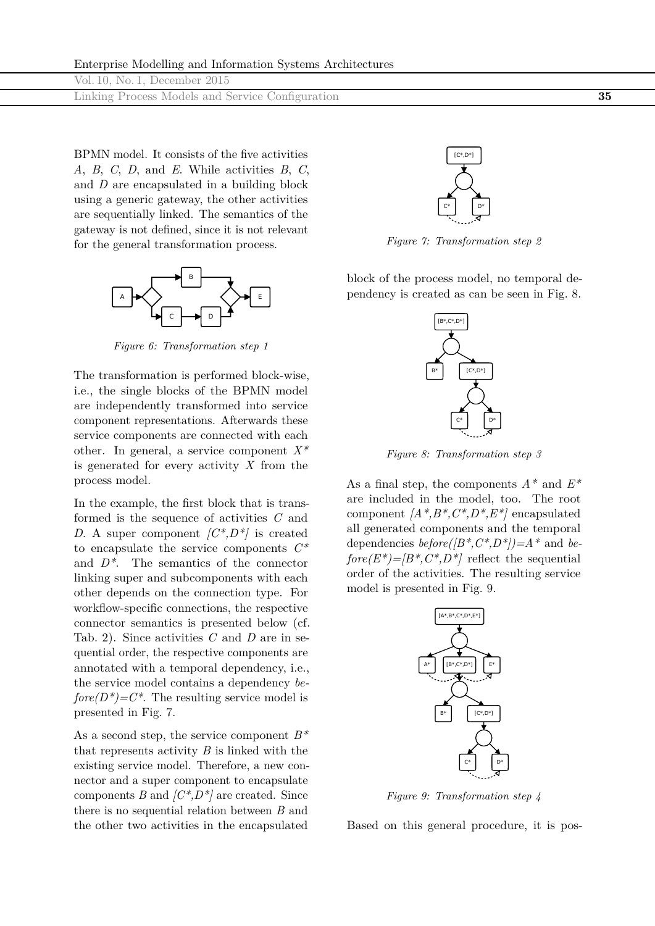| Vol. 10, No. 1, December 2015                    |    |
|--------------------------------------------------|----|
| Linking Process Models and Service Configuration | 35 |

BPMN model. It consists of the five activities *A*, *B*, *C*, *D*, and *E*. While activities *B*, *C*, and *D* are encapsulated in a building block using a generic gateway, the other activities are sequentially linked. The semantics of the gateway is not defined, since it is not relevant for the general transformation process.



*Figure 6: Transformation step 1*

The transformation is performed block-wise, i.e., the single blocks of the BPMN model are independently transformed into service component representations. Afterwards these service components are connected with each other. In general, a service component *X\** is generated for every activity *X* from the process model.

In the example, the first block that is transformed is the sequence of activities *C* and *D*. A super component *[C\*,D\*]* is created to encapsulate the service components *C\** and *D\**. The semantics of the connector linking super and subcomponents with each other depends on the connection type. For workflow-specific connections, the respective connector semantics is presented below (cf. Tab. 2). Since activities *C* and *D* are in sequential order, the respective components are annotated with a temporal dependency, i.e., the service model contains a dependency *be* $fore(D^*)=C^*$ . The resulting service model is presented in Fig. 7.

As a second step, the service component *B\** that represents activity *B* is linked with the existing service model. Therefore, a new connector and a super component to encapsulate components *B* and *[C\*,D\*]* are created. Since there is no sequential relation between *B* and the other two activities in the encapsulated



*Figure 7: Transformation step 2*

block of the process model, no temporal dependency is created as can be seen in Fig. 8.



*Figure 8: Transformation step 3*

As a final step, the components *A\** and *E\** are included in the model, too. The root component *[A\*,B\*,C\*,D\*,E\*]* encapsulated all generated components and the temporal dependencies *before([B\*,C\*,D\*])=A\** and *be* $fore(E^*)=|B^*, C^*, D^*|$  reflect the sequential order of the activities. The resulting service model is presented in Fig. 9.



*Figure 9: Transformation step 4*

Based on this general procedure, it is pos-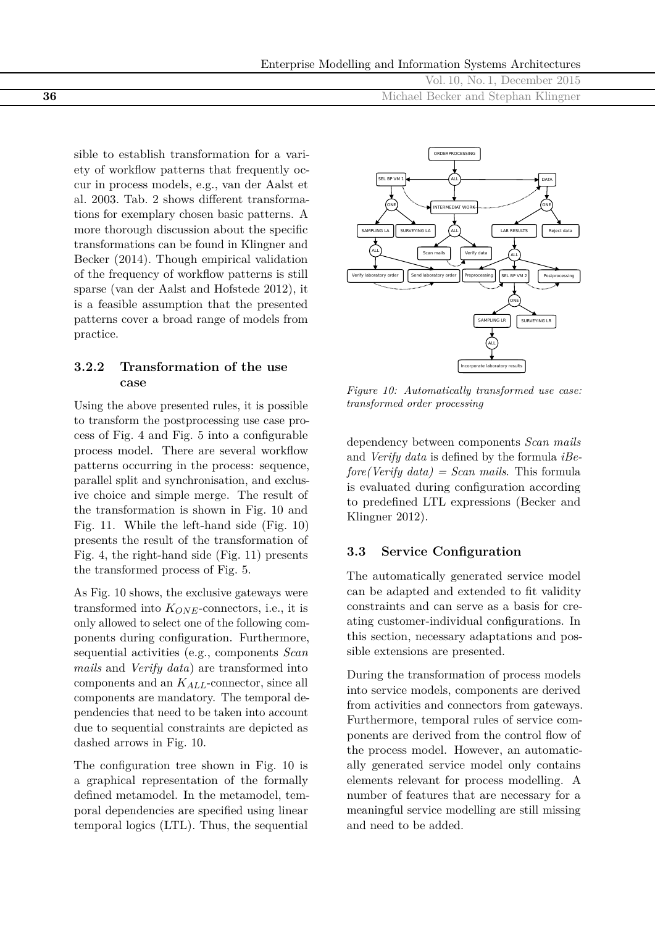Vol. 10, No. 1, December 2015 **36** Michael Becker and Stephan Klingner

sible to establish transformation for a variety of workflow patterns that frequently occur in process models, e.g., van der Aalst et al. 2003. Tab. 2 shows different transformations for exemplary chosen basic patterns. A more thorough discussion about the specific transformations can be found in Klingner and Becker (2014). Though empirical validation of the frequency of workflow patterns is still sparse (van der Aalst and Hofstede 2012), it is a feasible assumption that the presented patterns cover a broad range of models from practice.

# **3.2.2 Transformation of the use case**

Using the above presented rules, it is possible to transform the postprocessing use case process of Fig. 4 and Fig. 5 into a configurable process model. There are several workflow patterns occurring in the process: sequence, parallel split and synchronisation, and exclusive choice and simple merge. The result of the transformation is shown in Fig. 10 and Fig. 11. While the left-hand side (Fig. 10) presents the result of the transformation of Fig. 4, the right-hand side (Fig. 11) presents the transformed process of Fig. 5.

As Fig. 10 shows, the exclusive gateways were transformed into  $K_{ONE}$ -connectors, i.e., it is only allowed to select one of the following components during configuration. Furthermore, sequential activities (e.g., components *Scan mails* and *Verify data*) are transformed into components and an *KALL*-connector, since all components are mandatory. The temporal dependencies that need to be taken into account due to sequential constraints are depicted as dashed arrows in Fig. 10.

The configuration tree shown in Fig. 10 is a graphical representation of the formally defined metamodel. In the metamodel, temporal dependencies are specified using linear temporal logics (LTL). Thus, the sequential



*Figure 10: Automatically transformed use case: transformed order processing*

dependency between components *Scan mails* and *Verify data* is defined by the formula *iBefore(Verify data) = Scan mails*. This formula is evaluated during configuration according to predefined LTL expressions (Becker and Klingner 2012).

# **3.3 Service Configuration**

The automatically generated service model can be adapted and extended to fit validity constraints and can serve as a basis for creating customer-individual configurations. In this section, necessary adaptations and possible extensions are presented.

During the transformation of process models into service models, components are derived from activities and connectors from gateways. Furthermore, temporal rules of service components are derived from the control flow of the process model. However, an automatically generated service model only contains elements relevant for process modelling. A number of features that are necessary for a meaningful service modelling are still missing and need to be added.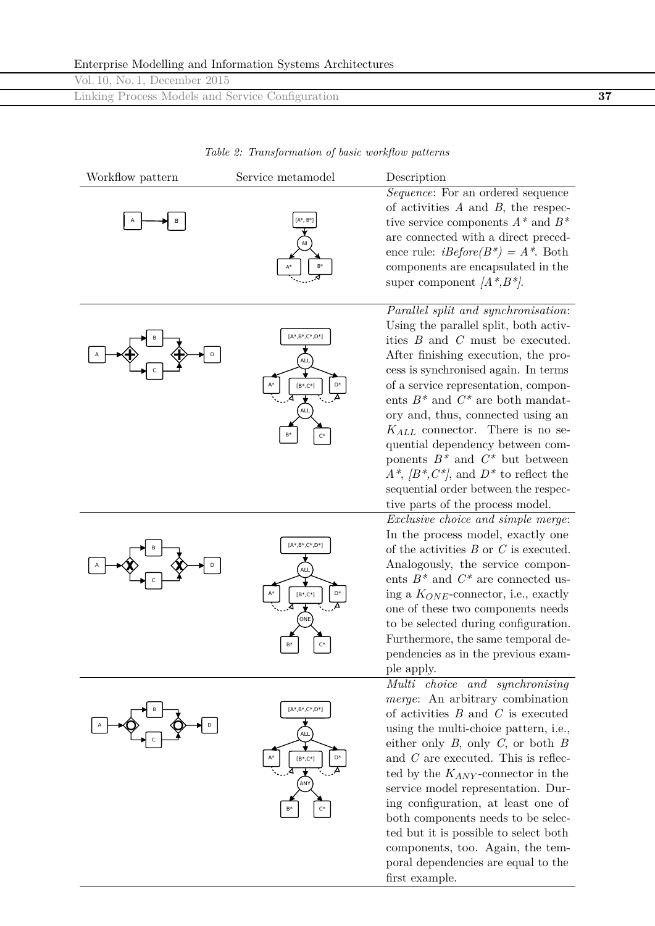|  |  | Enterprise Modelling and Information Systems Architectures |
|--|--|------------------------------------------------------------|
|  |  |                                                            |

|  | ∼                             |                                                  |  |  |
|--|-------------------------------|--------------------------------------------------|--|--|
|  | Vol. 10, No. 1, December 2015 |                                                  |  |  |
|  |                               | Linking Process Models and Service Configuration |  |  |
|  |                               |                                                  |  |  |

*Table 2: Transformation of basic workflow patterns*

| Workflow pattern | Service metamodel                                                          | Description                                                                                                                                                                                                                                                                                                                                                                                                                                                                                                                                        |
|------------------|----------------------------------------------------------------------------|----------------------------------------------------------------------------------------------------------------------------------------------------------------------------------------------------------------------------------------------------------------------------------------------------------------------------------------------------------------------------------------------------------------------------------------------------------------------------------------------------------------------------------------------------|
|                  | [A*, B*]                                                                   | Sequence: For an ordered sequence<br>of activities $A$ and $B$ , the respec-<br>tive service components $A^*$ and $B^*$<br>are connected with a direct preced-<br>ence rule: $iBefore(B^*) = A^*$ . Both<br>components are encapsulated in the<br>super component $\left\langle A^*, B^* \right\rangle$ .                                                                                                                                                                                                                                          |
|                  | $[A*,B*,C*,D*]$<br>ALL<br>$[B^*,C^*]$<br>ALL                               | Parallel split and synchronisation:<br>Using the parallel split, both activ-<br>ities $B$ and $C$ must be executed.<br>After finishing execution, the pro-<br>cess is synchronised again. In terms<br>of a service representation, compon-<br>ents $B^*$ and $C^*$ are both mandat-<br>ory and, thus, connected using an<br>$K_{ALL}$ connector. There is no se-<br>quential dependency between com-<br>ponents $B^*$ and $C^*$ but between<br>$A^*, \, /B^*, C^*$ , and $D^*$ to reflect the                                                      |
|                  | $[A^*,B^*,C^*,D^*]$<br>ALL<br>$[\mathsf{B}^*,\mathsf{C}^*]$<br>ONE         | sequential order between the respec-<br>tive parts of the process model.<br>Exclusive choice and simple merge:<br>In the process model, exactly one<br>of the activities $B$ or $C$ is executed.<br>Analogously, the service compon-<br>ents $B^*$ and $C^*$ are connected us-<br>ing a $K_{ONE}$ -connector, i.e., exactly<br>one of these two components needs<br>to be selected during configuration.<br>Furthermore, the same temporal de-<br>pendencies as in the previous exam-<br>ple apply.                                                |
|                  | $[A*,B*,C*,D*]$<br>ALL<br>D*<br>$[\mathsf{B}^*,\mathsf{C}^*]$<br>AN)<br>B* | Multi choice and synchronising<br><i>merge</i> : An arbitrary combination<br>of activities $B$ and $C$ is executed<br>using the multi-choice pattern, i.e.,<br>either only $B$ , only $C$ , or both $B$<br>and $C$ are executed. This is reflec-<br>ted by the $K_{ANY}$ -connector in the<br>service model representation. Dur-<br>ing configuration, at least one of<br>both components needs to be selec-<br>ted but it is possible to select both<br>components, too. Again, the tem-<br>poral dependencies are equal to the<br>first example. |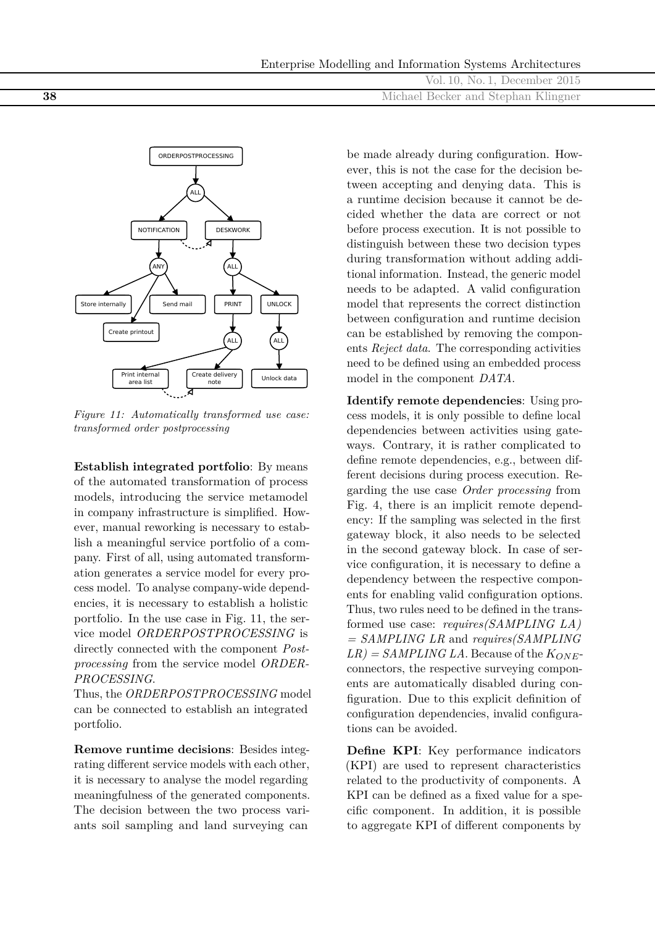| Enterprise Modelling and Information Systems Architectures |  |  |
|------------------------------------------------------------|--|--|
|                                                            |  |  |

|    | Vol. 10, No. 1, December 2015       |
|----|-------------------------------------|
| 38 | Michael Becker and Stephan Klingner |



*Figure 11: Automatically transformed use case: transformed order postprocessing*

**Establish integrated portfolio**: By means of the automated transformation of process models, introducing the service metamodel in company infrastructure is simplified. However, manual reworking is necessary to establish a meaningful service portfolio of a company. First of all, using automated transformation generates a service model for every process model. To analyse company-wide dependencies, it is necessary to establish a holistic portfolio. In the use case in Fig. 11, the service model *ORDERPOSTPROCESSING* is directly connected with the component *Postprocessing* from the service model *ORDER-PROCESSING*.

Thus, the *ORDERPOSTPROCESSING* model can be connected to establish an integrated portfolio.

**Remove runtime decisions**: Besides integrating different service models with each other, it is necessary to analyse the model regarding meaningfulness of the generated components. The decision between the two process variants soil sampling and land surveying can

be made already during configuration. However, this is not the case for the decision between accepting and denying data. This is a runtime decision because it cannot be decided whether the data are correct or not before process execution. It is not possible to distinguish between these two decision types during transformation without adding additional information. Instead, the generic model needs to be adapted. A valid configuration model that represents the correct distinction between configuration and runtime decision can be established by removing the components *Reject data*. The corresponding activities need to be defined using an embedded process model in the component *DATA*.

**Identify remote dependencies**: Using process models, it is only possible to define local dependencies between activities using gateways. Contrary, it is rather complicated to define remote dependencies, e.g., between different decisions during process execution. Regarding the use case *Order processing* from Fig. 4, there is an implicit remote dependency: If the sampling was selected in the first gateway block, it also needs to be selected in the second gateway block. In case of service configuration, it is necessary to define a dependency between the respective components for enabling valid configuration options. Thus, two rules need to be defined in the transformed use case: *requires(SAMPLING LA) = SAMPLING LR* and *requires(SAMPLING*  $LR$ ) = *SAMPLING LA*. Because of the  $K_{ONE}$ connectors, the respective surveying components are automatically disabled during configuration. Due to this explicit definition of configuration dependencies, invalid configurations can be avoided.

**Define KPI**: Key performance indicators (KPI) are used to represent characteristics related to the productivity of components. A KPI can be defined as a fixed value for a specific component. In addition, it is possible to aggregate KPI of different components by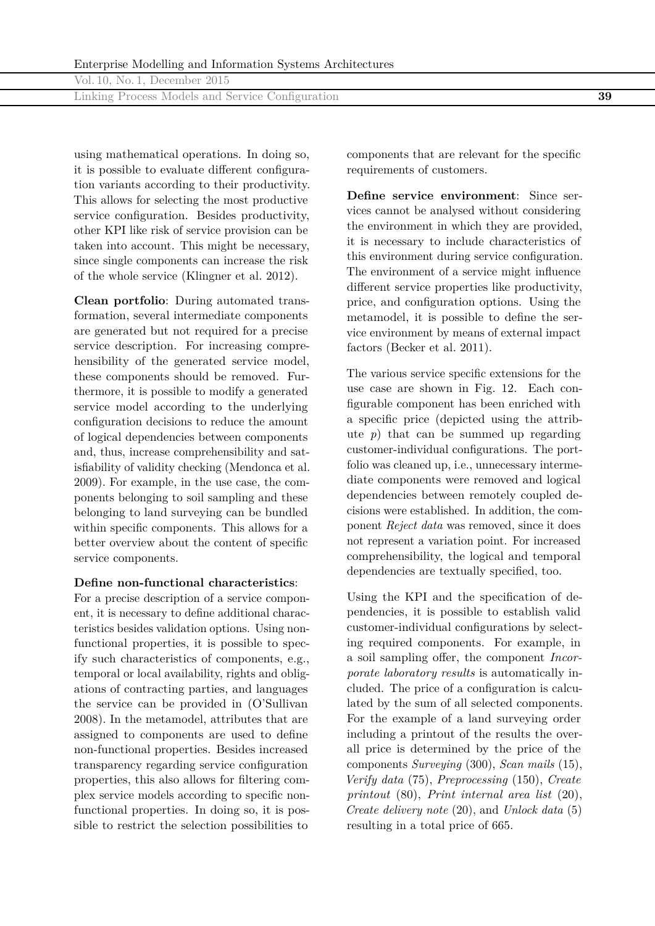| Vol. 10, No. 1, December 2015 |  |
|-------------------------------|--|
|-------------------------------|--|

Linking Process Models and Service Configuration **39**

using mathematical operations. In doing so, it is possible to evaluate different configuration variants according to their productivity. This allows for selecting the most productive service configuration. Besides productivity, other KPI like risk of service provision can be taken into account. This might be necessary, since single components can increase the risk of the whole service (Klingner et al. 2012).

**Clean portfolio**: During automated transformation, several intermediate components are generated but not required for a precise service description. For increasing comprehensibility of the generated service model, these components should be removed. Furthermore, it is possible to modify a generated service model according to the underlying configuration decisions to reduce the amount of logical dependencies between components and, thus, increase comprehensibility and satisfiability of validity checking (Mendonca et al. 2009). For example, in the use case, the components belonging to soil sampling and these belonging to land surveying can be bundled within specific components. This allows for a better overview about the content of specific service components.

#### **Define non-functional characteristics**:

For a precise description of a service component, it is necessary to define additional characteristics besides validation options. Using nonfunctional properties, it is possible to specify such characteristics of components, e.g., temporal or local availability, rights and obligations of contracting parties, and languages the service can be provided in (O'Sullivan 2008). In the metamodel, attributes that are assigned to components are used to define non-functional properties. Besides increased transparency regarding service configuration properties, this also allows for filtering complex service models according to specific nonfunctional properties. In doing so, it is possible to restrict the selection possibilities to

components that are relevant for the specific requirements of customers.

**Define service environment**: Since services cannot be analysed without considering the environment in which they are provided, it is necessary to include characteristics of this environment during service configuration. The environment of a service might influence different service properties like productivity, price, and configuration options. Using the metamodel, it is possible to define the service environment by means of external impact factors (Becker et al. 2011).

The various service specific extensions for the use case are shown in Fig. 12. Each configurable component has been enriched with a specific price (depicted using the attribute  $p$ ) that can be summed up regarding customer-individual configurations. The portfolio was cleaned up, i.e., unnecessary intermediate components were removed and logical dependencies between remotely coupled decisions were established. In addition, the component *Reject data* was removed, since it does not represent a variation point. For increased comprehensibility, the logical and temporal dependencies are textually specified, too.

Using the KPI and the specification of dependencies, it is possible to establish valid customer-individual configurations by selecting required components. For example, in a soil sampling offer, the component *Incorporate laboratory results* is automatically included. The price of a configuration is calculated by the sum of all selected components. For the example of a land surveying order including a printout of the results the overall price is determined by the price of the components *Surveying* (300), *Scan mails* (15), *Verify data* (75), *Preprocessing* (150), *Create printout* (80), *Print internal area list* (20), *Create delivery note* (20), and *Unlock data* (5) resulting in a total price of 665.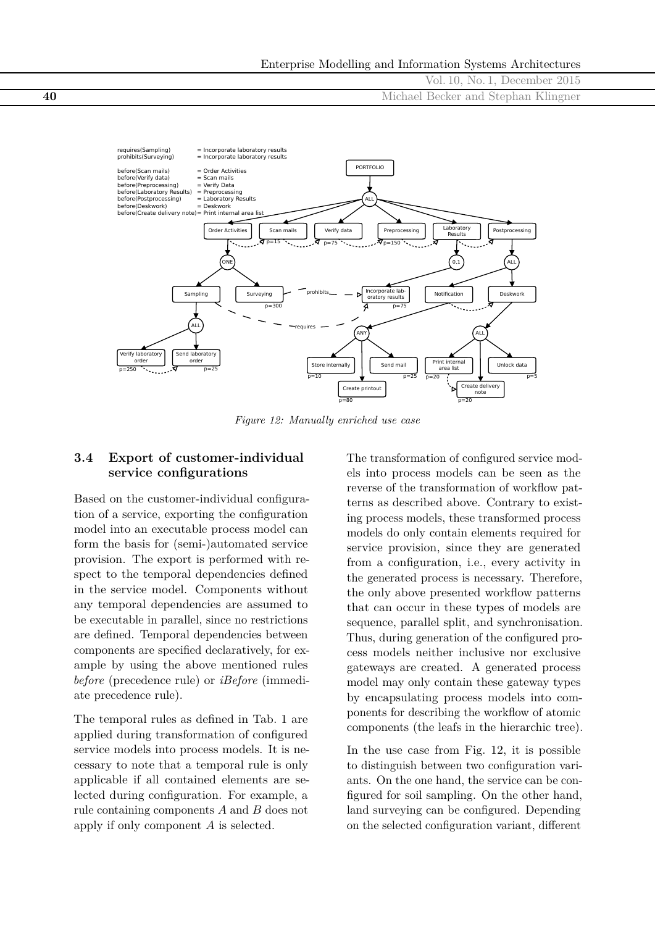



*Figure 12: Manually enriched use case*

## **3.4 Export of customer-individual service configurations**

Based on the customer-individual configuration of a service, exporting the configuration model into an executable process model can form the basis for (semi-)automated service provision. The export is performed with respect to the temporal dependencies defined in the service model. Components without any temporal dependencies are assumed to be executable in parallel, since no restrictions are defined. Temporal dependencies between components are specified declaratively, for example by using the above mentioned rules *before* (precedence rule) or *iBefore* (immediate precedence rule).

The temporal rules as defined in Tab. 1 are applied during transformation of configured service models into process models. It is necessary to note that a temporal rule is only applicable if all contained elements are selected during configuration. For example, a rule containing components *A* and *B* does not apply if only component *A* is selected.

The transformation of configured service models into process models can be seen as the reverse of the transformation of workflow patterns as described above. Contrary to existing process models, these transformed process models do only contain elements required for service provision, since they are generated from a configuration, i.e., every activity in the generated process is necessary. Therefore, the only above presented workflow patterns that can occur in these types of models are sequence, parallel split, and synchronisation. Thus, during generation of the configured process models neither inclusive nor exclusive gateways are created. A generated process model may only contain these gateway types by encapsulating process models into components for describing the workflow of atomic components (the leafs in the hierarchic tree).

In the use case from Fig. 12, it is possible to distinguish between two configuration variants. On the one hand, the service can be configured for soil sampling. On the other hand, land surveying can be configured. Depending on the selected configuration variant, different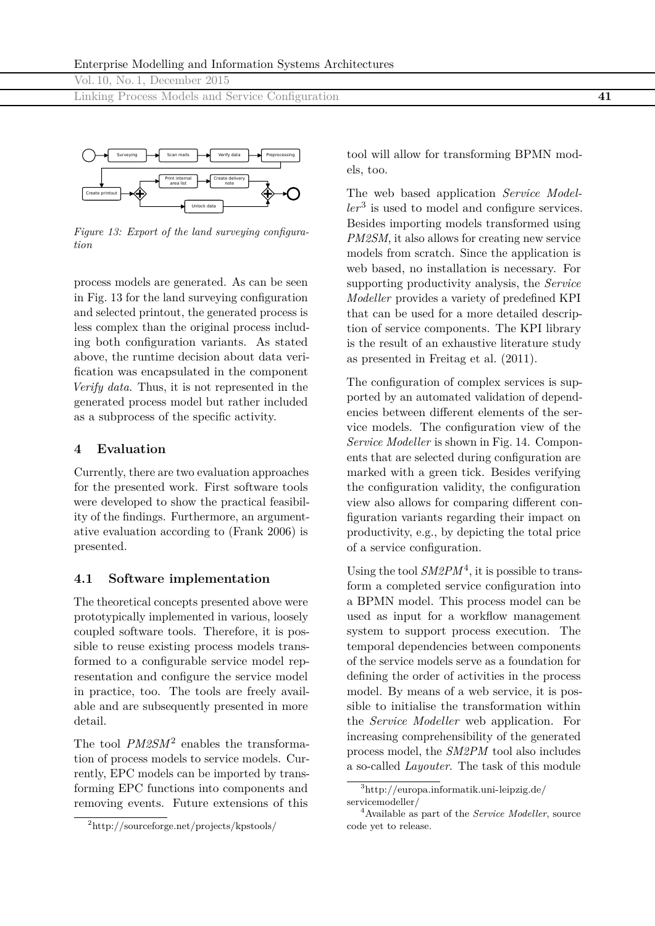Linking Process Models and Service Configuration **41**



*Figure 13: Export of the land surveying configuration*

process models are generated. As can be seen in Fig. 13 for the land surveying configuration and selected printout, the generated process is less complex than the original process including both configuration variants. As stated above, the runtime decision about data verification was encapsulated in the component *Verify data*. Thus, it is not represented in the generated process model but rather included as a subprocess of the specific activity.

#### **4 Evaluation**

Currently, there are two evaluation approaches for the presented work. First software tools were developed to show the practical feasibility of the findings. Furthermore, an argumentative evaluation according to (Frank 2006) is presented.

#### **4.1 Software implementation**

The theoretical concepts presented above were prototypically implemented in various, loosely coupled software tools. Therefore, it is possible to reuse existing process models transformed to a configurable service model representation and configure the service model in practice, too. The tools are freely available and are subsequently presented in more detail.

The tool *PM2SM*2 enables the transformation of process models to service models. Currently, EPC models can be imported by transforming EPC functions into components and removing events. Future extensions of this

tool will allow for transforming BPMN models, too.

The web based application *Service Modeller*3 is used to model and configure services. Besides importing models transformed using *PM2SM*, it also allows for creating new service models from scratch. Since the application is web based, no installation is necessary. For supporting productivity analysis, the *Service Modeller* provides a variety of predefined KPI that can be used for a more detailed description of service components. The KPI library is the result of an exhaustive literature study as presented in Freitag et al. (2011).

The configuration of complex services is supported by an automated validation of dependencies between different elements of the service models. The configuration view of the *Service Modeller* is shown in Fig. 14. Components that are selected during configuration are marked with a green tick. Besides verifying the configuration validity, the configuration view also allows for comparing different configuration variants regarding their impact on productivity, e.g., by depicting the total price of a service configuration.

Using the tool  $S\text{M2}PM^4$ , it is possible to transform a completed service configuration into a BPMN model. This process model can be used as input for a workflow management system to support process execution. The temporal dependencies between components of the service models serve as a foundation for defining the order of activities in the process model. By means of a web service, it is possible to initialise the transformation within the *Service Modeller* web application. For increasing comprehensibility of the generated process model, the *SM2PM* tool also includes a so-called *Layouter*. The task of this module

<sup>2</sup><http://sourceforge.net/projects/kpstools/>

<sup>3</sup>[http://europa.informatik.uni-leipzig.de/](http://europa.informatik.uni-leipzig.de/servicemodeller/) [servicemodeller/](http://europa.informatik.uni-leipzig.de/servicemodeller/)

<sup>4</sup>Available as part of the *Service Modeller*, source code yet to release.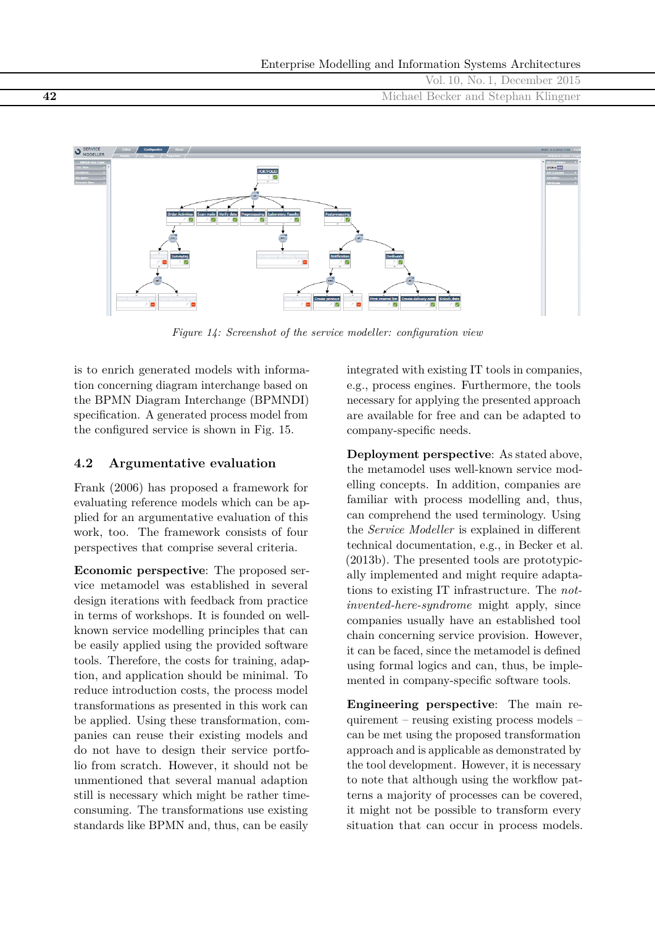Vol. 10, No. 1, December 2015 **42** Michael Becker and Stephan Klingner



*Figure 14: Screenshot of the service modeller: configuration view*

is to enrich generated models with information concerning diagram interchange based on the BPMN Diagram Interchange (BPMNDI) specification. A generated process model from the configured service is shown in Fig. 15.

## **4.2 Argumentative evaluation**

Frank (2006) has proposed a framework for evaluating reference models which can be applied for an argumentative evaluation of this work, too. The framework consists of four perspectives that comprise several criteria.

**Economic perspective**: The proposed service metamodel was established in several design iterations with feedback from practice in terms of workshops. It is founded on wellknown service modelling principles that can be easily applied using the provided software tools. Therefore, the costs for training, adaption, and application should be minimal. To reduce introduction costs, the process model transformations as presented in this work can be applied. Using these transformation, companies can reuse their existing models and do not have to design their service portfolio from scratch. However, it should not be unmentioned that several manual adaption still is necessary which might be rather timeconsuming. The transformations use existing standards like BPMN and, thus, can be easily

integrated with existing IT tools in companies, e.g., process engines. Furthermore, the tools necessary for applying the presented approach are available for free and can be adapted to company-specific needs.

**Deployment perspective**: As stated above, the metamodel uses well-known service modelling concepts. In addition, companies are familiar with process modelling and, thus, can comprehend the used terminology. Using the *Service Modeller* is explained in different technical documentation, e.g., in Becker et al. (2013b). The presented tools are prototypically implemented and might require adaptations to existing IT infrastructure. The *notinvented-here-syndrome* might apply, since companies usually have an established tool chain concerning service provision. However, it can be faced, since the metamodel is defined using formal logics and can, thus, be implemented in company-specific software tools.

**Engineering perspective**: The main requirement – reusing existing process models – can be met using the proposed transformation approach and is applicable as demonstrated by the tool development. However, it is necessary to note that although using the workflow patterns a majority of processes can be covered, it might not be possible to transform every situation that can occur in process models.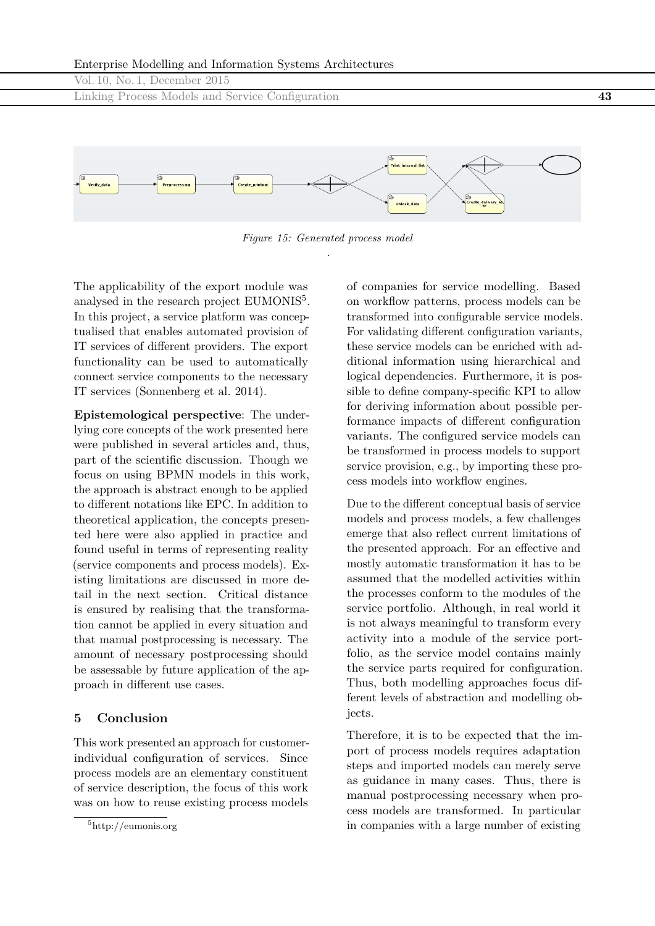

*Figure 15: Generated process model* .

The applicability of the export module was analysed in the research project EUMONIS<sup>5</sup>. In this project, a service platform was conceptualised that enables automated provision of IT services of different providers. The export functionality can be used to automatically connect service components to the necessary IT services (Sonnenberg et al. 2014).

**Epistemological perspective**: The underlying core concepts of the work presented here were published in several articles and, thus, part of the scientific discussion. Though we focus on using BPMN models in this work, the approach is abstract enough to be applied to different notations like EPC. In addition to theoretical application, the concepts presented here were also applied in practice and found useful in terms of representing reality (service components and process models). Existing limitations are discussed in more detail in the next section. Critical distance is ensured by realising that the transformation cannot be applied in every situation and that manual postprocessing is necessary. The amount of necessary postprocessing should be assessable by future application of the approach in different use cases.

## **5 Conclusion**

This work presented an approach for customerindividual configuration of services. Since process models are an elementary constituent of service description, the focus of this work was on how to reuse existing process models

of companies for service modelling. Based on workflow patterns, process models can be transformed into configurable service models. For validating different configuration variants, these service models can be enriched with additional information using hierarchical and logical dependencies. Furthermore, it is possible to define company-specific KPI to allow for deriving information about possible performance impacts of different configuration variants. The configured service models can be transformed in process models to support service provision, e.g., by importing these process models into workflow engines.

Due to the different conceptual basis of service models and process models, a few challenges emerge that also reflect current limitations of the presented approach. For an effective and mostly automatic transformation it has to be assumed that the modelled activities within the processes conform to the modules of the service portfolio. Although, in real world it is not always meaningful to transform every activity into a module of the service portfolio, as the service model contains mainly the service parts required for configuration. Thus, both modelling approaches focus different levels of abstraction and modelling objects.

Therefore, it is to be expected that the import of process models requires adaptation steps and imported models can merely serve as guidance in many cases. Thus, there is manual postprocessing necessary when process models are transformed. In particular in companies with a large number of existing

<sup>5</sup><http://eumonis.org>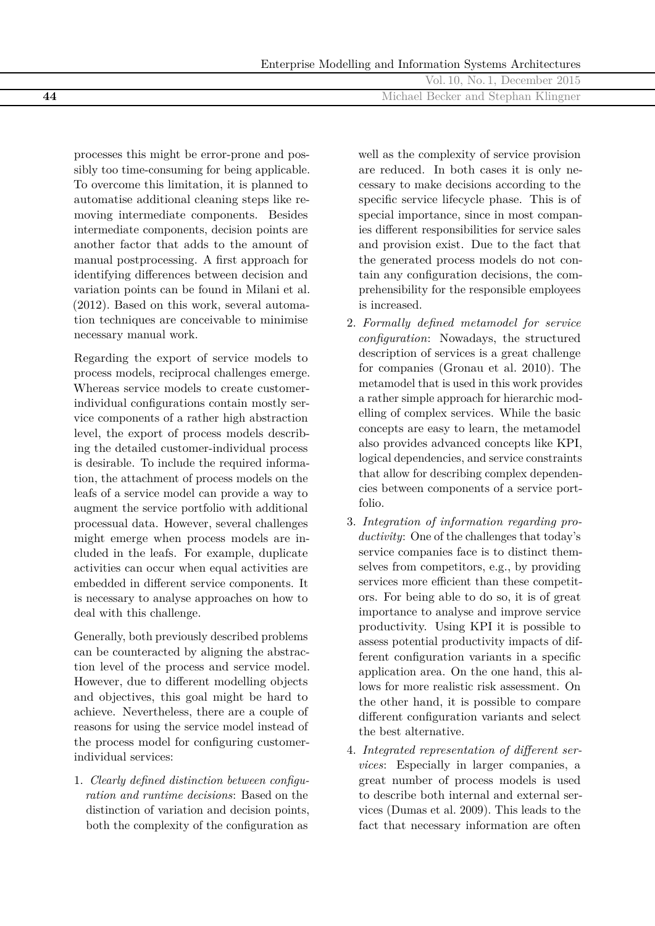|    | Vol. 10, No. 1, December 2015       |
|----|-------------------------------------|
| 44 | Michael Becker and Stephan Klingner |
|    |                                     |

processes this might be error-prone and possibly too time-consuming for being applicable. To overcome this limitation, it is planned to automatise additional cleaning steps like removing intermediate components. Besides intermediate components, decision points are another factor that adds to the amount of manual postprocessing. A first approach for identifying differences between decision and variation points can be found in Milani et al. (2012). Based on this work, several automation techniques are conceivable to minimise necessary manual work.

Regarding the export of service models to process models, reciprocal challenges emerge. Whereas service models to create customerindividual configurations contain mostly service components of a rather high abstraction level, the export of process models describing the detailed customer-individual process is desirable. To include the required information, the attachment of process models on the leafs of a service model can provide a way to augment the service portfolio with additional processual data. However, several challenges might emerge when process models are included in the leafs. For example, duplicate activities can occur when equal activities are embedded in different service components. It is necessary to analyse approaches on how to deal with this challenge.

Generally, both previously described problems can be counteracted by aligning the abstraction level of the process and service model. However, due to different modelling objects and objectives, this goal might be hard to achieve. Nevertheless, there are a couple of reasons for using the service model instead of the process model for configuring customerindividual services:

1. *Clearly defined distinction between configuration and runtime decisions*: Based on the distinction of variation and decision points, both the complexity of the configuration as

well as the complexity of service provision are reduced. In both cases it is only necessary to make decisions according to the specific service lifecycle phase. This is of special importance, since in most companies different responsibilities for service sales and provision exist. Due to the fact that the generated process models do not contain any configuration decisions, the comprehensibility for the responsible employees is increased.

- 2. *Formally defined metamodel for service configuration*: Nowadays, the structured description of services is a great challenge for companies (Gronau et al. 2010). The metamodel that is used in this work provides a rather simple approach for hierarchic modelling of complex services. While the basic concepts are easy to learn, the metamodel also provides advanced concepts like KPI, logical dependencies, and service constraints that allow for describing complex dependencies between components of a service portfolio.
- 3. *Integration of information regarding productivity*: One of the challenges that today's service companies face is to distinct themselves from competitors, e.g., by providing services more efficient than these competitors. For being able to do so, it is of great importance to analyse and improve service productivity. Using KPI it is possible to assess potential productivity impacts of different configuration variants in a specific application area. On the one hand, this allows for more realistic risk assessment. On the other hand, it is possible to compare different configuration variants and select the best alternative.
- 4. *Integrated representation of different services*: Especially in larger companies, a great number of process models is used to describe both internal and external services (Dumas et al. 2009). This leads to the fact that necessary information are often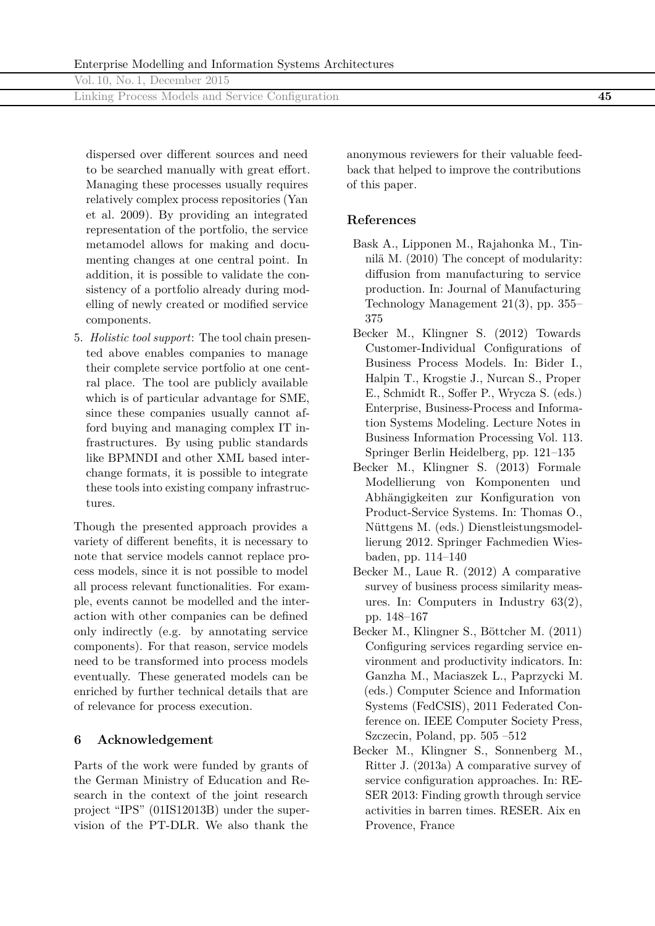Linking Process Models and Service Configuration **45**

dispersed over different sources and need to be searched manually with great effort. Managing these processes usually requires relatively complex process repositories (Yan et al. 2009). By providing an integrated representation of the portfolio, the service metamodel allows for making and documenting changes at one central point. In addition, it is possible to validate the consistency of a portfolio already during modelling of newly created or modified service components.

5. *Holistic tool support*: The tool chain presented above enables companies to manage their complete service portfolio at one central place. The tool are publicly available which is of particular advantage for SME, since these companies usually cannot afford buying and managing complex IT infrastructures. By using public standards like BPMNDI and other XML based interchange formats, it is possible to integrate these tools into existing company infrastructures.

Though the presented approach provides a variety of different benefits, it is necessary to note that service models cannot replace process models, since it is not possible to model all process relevant functionalities. For example, events cannot be modelled and the interaction with other companies can be defined only indirectly (e.g. by annotating service components). For that reason, service models need to be transformed into process models eventually. These generated models can be enriched by further technical details that are of relevance for process execution.

# **6 Acknowledgement**

Parts of the work were funded by grants of the German Ministry of Education and Research in the context of the joint research project "IPS" (01IS12013B) under the supervision of the PT-DLR. We also thank the

anonymous reviewers for their valuable feedback that helped to improve the contributions of this paper.

# **References**

- Bask A., Lipponen M., Rajahonka M., Tinnilä M. (2010) The concept of modularity: diffusion from manufacturing to service production. In: Journal of Manufacturing Technology Management 21(3), pp. 355– 375
- Becker M., Klingner S. (2012) Towards Customer-Individual Configurations of Business Process Models. In: Bider I., Halpin T., Krogstie J., Nurcan S., Proper E., Schmidt R., Soffer P., Wrycza S. (eds.) Enterprise, Business-Process and Information Systems Modeling. Lecture Notes in Business Information Processing Vol. 113. Springer Berlin Heidelberg, pp. 121–135
- Becker M., Klingner S. (2013) Formale Modellierung von Komponenten und Abhängigkeiten zur Konfiguration von Product-Service Systems. In: Thomas O., Nüttgens M. (eds.) Dienstleistungsmodellierung 2012. Springer Fachmedien Wiesbaden, pp. 114–140
- Becker M., Laue R. (2012) A comparative survey of business process similarity measures. In: Computers in Industry 63(2), pp. 148–167
- Becker M., Klingner S., Böttcher M. (2011) Configuring services regarding service environment and productivity indicators. In: Ganzha M., Maciaszek L., Paprzycki M. (eds.) Computer Science and Information Systems (FedCSIS), 2011 Federated Conference on. IEEE Computer Society Press, Szczecin, Poland, pp. 505 –512
- Becker M., Klingner S., Sonnenberg M., Ritter J. (2013a) A comparative survey of service configuration approaches. In: RE-SER 2013: Finding growth through service activities in barren times. RESER. Aix en Provence, France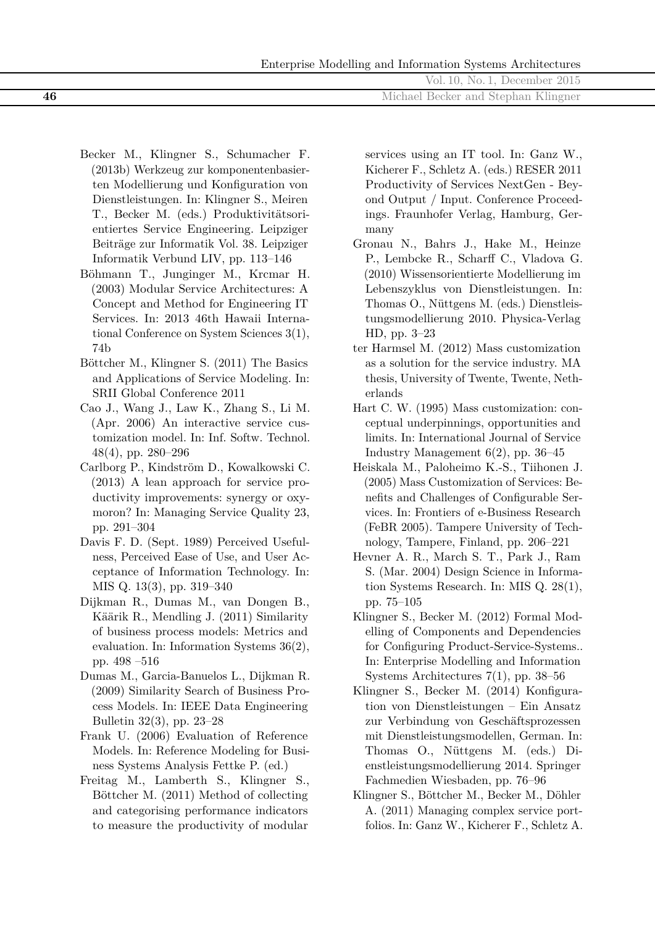|    | Vol. 10, No. 1, December 2015       |
|----|-------------------------------------|
| 46 | Michael Becker and Stephan Klingner |
|    |                                     |

- Becker M., Klingner S., Schumacher F. (2013b) Werkzeug zur komponentenbasierten Modellierung und Konfiguration von Dienstleistungen. In: Klingner S., Meiren T., Becker M. (eds.) Produktivitätsorientiertes Service Engineering. Leipziger Beiträge zur Informatik Vol. 38. Leipziger Informatik Verbund LIV, pp. 113–146
- Böhmann T., Junginger M., Krcmar H. (2003) Modular Service Architectures: A Concept and Method for Engineering IT Services. In: 2013 46th Hawaii International Conference on System Sciences 3(1), 74b
- Böttcher M., Klingner S. (2011) The Basics and Applications of Service Modeling. In: SRII Global Conference 2011
- Cao J., Wang J., Law K., Zhang S., Li M. (Apr. 2006) An interactive service customization model. In: Inf. Softw. Technol. 48(4), pp. 280–296
- Carlborg P., Kindström D., Kowalkowski C. (2013) A lean approach for service productivity improvements: synergy or oxymoron? In: Managing Service Quality 23, pp. 291–304
- Davis F. D. (Sept. 1989) Perceived Usefulness, Perceived Ease of Use, and User Acceptance of Information Technology. In: MIS Q. 13(3), pp. 319–340
- Dijkman R., Dumas M., van Dongen B., Käärik R., Mendling J. (2011) Similarity of business process models: Metrics and evaluation. In: Information Systems 36(2), pp. 498 –516
- Dumas M., Garcia-Banuelos L., Dijkman R. (2009) Similarity Search of Business Process Models. In: IEEE Data Engineering Bulletin 32(3), pp. 23–28
- Frank U. (2006) Evaluation of Reference Models. In: Reference Modeling for Business Systems Analysis Fettke P. (ed.)
- Freitag M., Lamberth S., Klingner S., Böttcher M. (2011) Method of collecting and categorising performance indicators to measure the productivity of modular

services using an IT tool. In: Ganz W., Kicherer F., Schletz A. (eds.) RESER 2011 Productivity of Services NextGen - Beyond Output / Input. Conference Proceedings. Fraunhofer Verlag, Hamburg, Germany

- Gronau N., Bahrs J., Hake M., Heinze P., Lembcke R., Scharff C., Vladova G. (2010) Wissensorientierte Modellierung im Lebenszyklus von Dienstleistungen. In: Thomas O., Nüttgens M. (eds.) Dienstleistungsmodellierung 2010. Physica-Verlag HD, pp. 3–23
- ter Harmsel M. (2012) Mass customization as a solution for the service industry. MA thesis, University of Twente, Twente, Netherlands
- Hart C. W. (1995) Mass customization: conceptual underpinnings, opportunities and limits. In: International Journal of Service Industry Management 6(2), pp. 36–45
- Heiskala M., Paloheimo K.-S., Tiihonen J. (2005) Mass Customization of Services: Benefits and Challenges of Configurable Services. In: Frontiers of e-Business Research (FeBR 2005). Tampere University of Technology, Tampere, Finland, pp. 206–221
- Hevner A. R., March S. T., Park J., Ram S. (Mar. 2004) Design Science in Information Systems Research. In: MIS Q. 28(1), pp. 75–105
- Klingner S., Becker M. (2012) Formal Modelling of Components and Dependencies for Configuring Product-Service-Systems.. In: Enterprise Modelling and Information Systems Architectures 7(1), pp. 38–56
- Klingner S., Becker M. (2014) Konfiguration von Dienstleistungen – Ein Ansatz zur Verbindung von Geschäftsprozessen mit Dienstleistungsmodellen, German. In: Thomas O., Nüttgens M. (eds.) Dienstleistungsmodellierung 2014. Springer Fachmedien Wiesbaden, pp. 76–96
- Klingner S., Böttcher M., Becker M., Döhler A. (2011) Managing complex service portfolios. In: Ganz W., Kicherer F., Schletz A.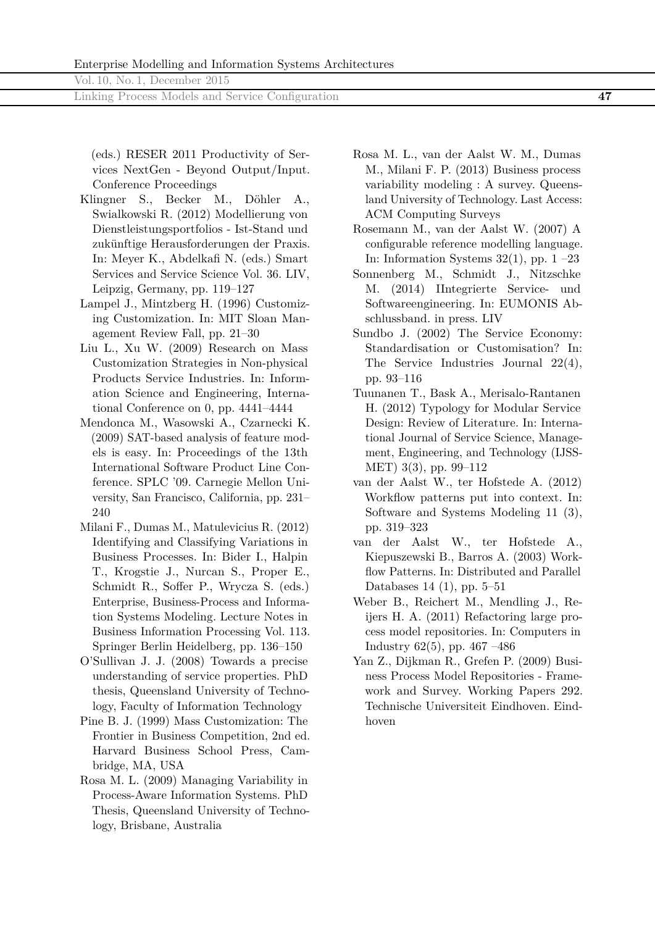Linking Process Models and Service Configuration **47**

(eds.) RESER 2011 Productivity of Services NextGen - Beyond Output/Input. Conference Proceedings

- Klingner S., Becker M., Döhler A., Swialkowski R. (2012) Modellierung von Dienstleistungsportfolios - Ist-Stand und zukünftige Herausforderungen der Praxis. In: Meyer K., Abdelkafi N. (eds.) Smart Services and Service Science Vol. 36. LIV, Leipzig, Germany, pp. 119–127
- Lampel J., Mintzberg H. (1996) Customizing Customization. In: MIT Sloan Management Review Fall, pp. 21–30
- Liu L., Xu W. (2009) Research on Mass Customization Strategies in Non-physical Products Service Industries. In: Information Science and Engineering, International Conference on 0, pp. 4441–4444
- Mendonca M., Wasowski A., Czarnecki K. (2009) SAT-based analysis of feature models is easy. In: Proceedings of the 13th International Software Product Line Conference. SPLC '09. Carnegie Mellon University, San Francisco, California, pp. 231– 240
- Milani F., Dumas M., Matulevicius R. (2012) Identifying and Classifying Variations in Business Processes. In: Bider I., Halpin T., Krogstie J., Nurcan S., Proper E., Schmidt R., Soffer P., Wrycza S. (eds.) Enterprise, Business-Process and Information Systems Modeling. Lecture Notes in Business Information Processing Vol. 113. Springer Berlin Heidelberg, pp. 136–150
- O'Sullivan J. J. (2008) Towards a precise understanding of service properties. PhD thesis, Queensland University of Technology, Faculty of Information Technology
- Pine B. J. (1999) Mass Customization: The Frontier in Business Competition, 2nd ed. Harvard Business School Press, Cambridge, MA, USA
- Rosa M. L. (2009) Managing Variability in Process-Aware Information Systems. PhD Thesis, Queensland University of Technology, Brisbane, Australia
- Rosa M. L., van der Aalst W. M., Dumas M., Milani F. P. (2013) Business process variability modeling : A survey. Queensland University of Technology. Last Access: ACM Computing Surveys
- Rosemann M., van der Aalst W. (2007) A configurable reference modelling language. In: Information Systems  $32(1)$ , pp.  $1 - 23$
- Sonnenberg M., Schmidt J., Nitzschke M. (2014) IIntegrierte Service- und Softwareengineering. In: EUMONIS Abschlussband. in press. LIV
- Sundbo J. (2002) The Service Economy: Standardisation or Customisation? In: The Service Industries Journal 22(4), pp. 93–116
- Tuunanen T., Bask A., Merisalo-Rantanen H. (2012) Typology for Modular Service Design: Review of Literature. In: International Journal of Service Science, Management, Engineering, and Technology (IJSS-MET) 3(3), pp. 99–112
- van der Aalst W., ter Hofstede A. (2012) Workflow patterns put into context. In: Software and Systems Modeling 11 (3), pp. 319–323
- van der Aalst W., ter Hofstede A., Kiepuszewski B., Barros A. (2003) Workflow Patterns. In: Distributed and Parallel Databases 14 (1), pp. 5–51
- Weber B., Reichert M., Mendling J., Reijers H. A. (2011) Refactoring large process model repositories. In: Computers in Industry 62(5), pp. 467 –486
- Yan Z., Dijkman R., Grefen P. (2009) Business Process Model Repositories - Framework and Survey. Working Papers 292. Technische Universiteit Eindhoven. Eindhoven